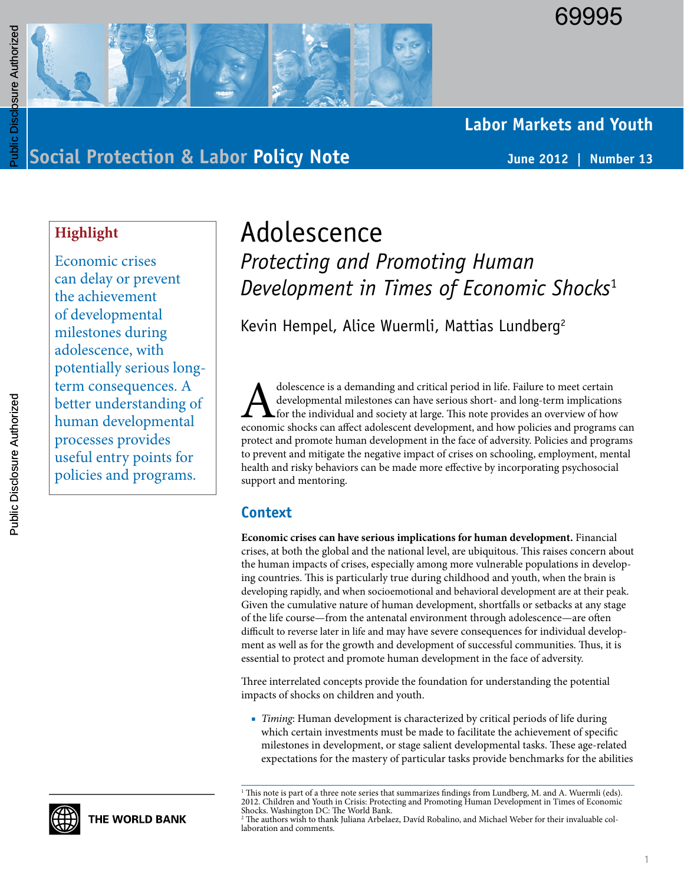

# **Labor Markets and Youth**

**Social Protection & Labor Policy Note June 2012 | Number 13**

# **Highlight**

Economic crises can delay or prevent the achievement of developmental milestones during adolescence, with potentially serious longterm consequences. A better understanding of human developmental processes provides useful entry points for policies and programs.

# Adolescence

*Protecting and Promoting Human Development in Times of Economic Shocks*<sup>1</sup>

Kevin Hempel, Alice Wuermli, Mattias Lundberg<sup>2</sup>

dolescence is a demanding and critical period in life. Failure to meet certain<br>developmental milestones can have serious short- and long-term implication<br>economic shocks can affect adolescent development, and how policies developmental milestones can have serious short- and long-term implications for the individual and society at large. This note provides an overview of how economic shocks can affect adolescent development, and how policies and programs can protect and promote human development in the face of adversity. Policies and programs to prevent and mitigate the negative impact of crises on schooling, employment, mental health and risky behaviors can be made more effective by incorporating psychosocial support and mentoring.

#### **Context**

**Economic crises can have serious implications for human development.** Financial crises, at both the global and the national level, are ubiquitous. This raises concern about the human impacts of crises, especially among more vulnerable populations in developing countries. This is particularly true during childhood and youth, when the brain is developing rapidly, and when socioemotional and behavioral development are at their peak. Given the cumulative nature of human development, shortfalls or setbacks at any stage of the life course—from the antenatal environment through adolescence—are often difficult to reverse later in life and may have severe consequences for individual development as well as for the growth and development of successful communities. Thus, it is essential to protect and promote human development in the face of adversity.

Three interrelated concepts provide the foundation for understanding the potential impacts of shocks on children and youth.

■ *Timing*: Human development is characterized by critical periods of life during which certain investments must be made to facilitate the achievement of specific milestones in development, or stage salient developmental tasks. These age-related expectations for the mastery of particular tasks provide benchmarks for the abilities



<sup>1</sup> This note is part of a three note series that summarizes findings from Lundberg, M. and A. Wuermli (eds). 2012. Children and Youth in Crisis: Protecting and Promoting Human Development in Times of Economic Shocks. Washington DC: The World Bank.

<sup>2</sup> The authors wish to thank Juliana Arbelaez, Davíd Robalino, and Michael Weber for their invaluable collaboration and comments.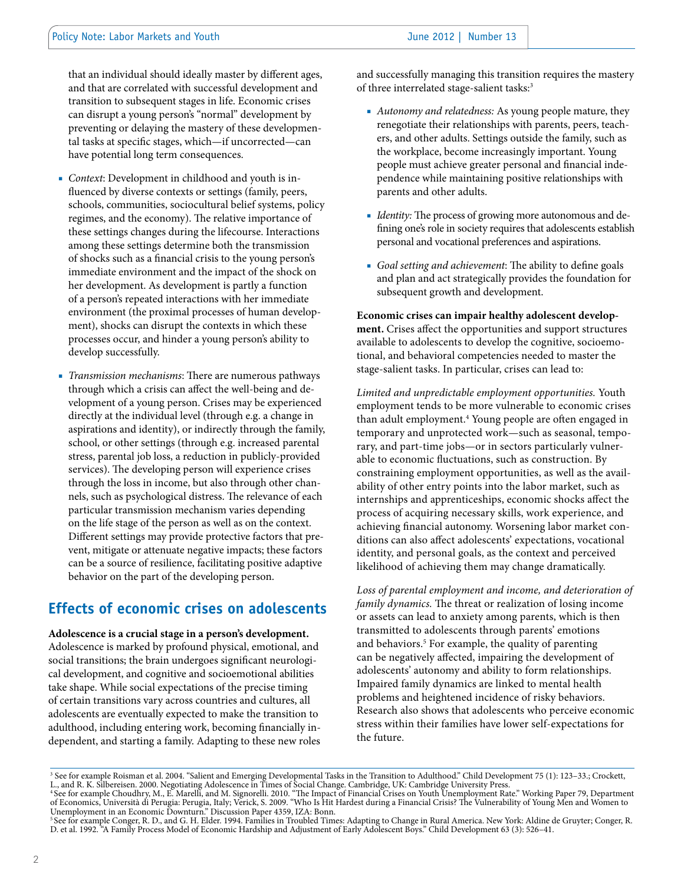that an individual should ideally master by different ages, and that are correlated with successful development and transition to subsequent stages in life. Economic crises can disrupt a young person's "normal" development by preventing or delaying the mastery of these developmental tasks at specific stages, which—if uncorrected—can have potential long term consequences.

- Context: Development in childhood and youth is influenced by diverse contexts or settings (family, peers, schools, communities, sociocultural belief systems, policy regimes, and the economy). The relative importance of these settings changes during the lifecourse. Interactions among these settings determine both the transmission of shocks such as a financial crisis to the young person's immediate environment and the impact of the shock on her development. As development is partly a function of a person's repeated interactions with her immediate environment (the proximal processes of human development), shocks can disrupt the contexts in which these processes occur, and hinder a young person's ability to develop successfully.
- *Transmission mechanisms*: There are numerous pathways through which a crisis can affect the well-being and development of a young person. Crises may be experienced directly at the individual level (through e.g. a change in aspirations and identity), or indirectly through the family, school, or other settings (through e.g. increased parental stress, parental job loss, a reduction in publicly-provided services). The developing person will experience crises through the loss in income, but also through other channels, such as psychological distress. The relevance of each particular transmission mechanism varies depending on the life stage of the person as well as on the context. Different settings may provide protective factors that prevent, mitigate or attenuate negative impacts; these factors can be a source of resilience, facilitating positive adaptive behavior on the part of the developing person.

### **Effects of economic crises on adolescents**

**Adolescence is a crucial stage in a person's development.** 

Adolescence is marked by profound physical, emotional, and social transitions; the brain undergoes significant neurological development, and cognitive and socioemotional abilities take shape. While social expectations of the precise timing of certain transitions vary across countries and cultures, all adolescents are eventually expected to make the transition to adulthood, including entering work, becoming financially independent, and starting a family. Adapting to these new roles and successfully managing this transition requires the mastery of three interrelated stage-salient tasks:<sup>3</sup>

- *Autonomy and relatedness:* As young people mature, they renegotiate their relationships with parents, peers, teachers, and other adults. Settings outside the family, such as the workplace, become increasingly important. Young people must achieve greater personal and financial independence while maintaining positive relationships with parents and other adults.
- *Identity:* The process of growing more autonomous and defining one's role in society requires that adolescents establish personal and vocational preferences and aspirations.
- *Goal setting and achievement*: The ability to define goals and plan and act strategically provides the foundation for subsequent growth and development.

**Economic crises can impair healthy adolescent development.** Crises affect the opportunities and support structures available to adolescents to develop the cognitive, socioemotional, and behavioral competencies needed to master the stage-salient tasks. In particular, crises can lead to:

*Limited and unpredictable employment opportunities.* Youth employment tends to be more vulnerable to economic crises than adult employment.4 Young people are often engaged in temporary and unprotected work—such as seasonal, temporary, and part-time jobs—or in sectors particularly vulnerable to economic fluctuations, such as construction. By constraining employment opportunities, as well as the availability of other entry points into the labor market, such as internships and apprenticeships, economic shocks affect the process of acquiring necessary skills, work experience, and achieving financial autonomy. Worsening labor market conditions can also affect adolescents' expectations, vocational identity, and personal goals, as the context and perceived likelihood of achieving them may change dramatically.

*Loss of parental employment and income, and deterioration of family dynamics.* The threat or realization of losing income or assets can lead to anxiety among parents, which is then transmitted to adolescents through parents' emotions and behaviors.5 For example, the quality of parenting can be negatively affected, impairing the development of adolescents' autonomy and ability to form relationships. Impaired family dynamics are linked to mental health problems and heightened incidence of risky behaviors. Research also shows that adolescents who perceive economic stress within their families have lower self-expectations for the future.

<sup>&</sup>lt;sup>3</sup> See for example Roisman et al. 2004. "Salient and Emerging Developmental Tasks in the Transition to Adulthood." Child Development 75 (1): 123–33.; Crockett, L., and R. K. Silbereisen. 2000. Negotiating Adolescence in Times of Social Change. Cambridge, UK: Cambridge University Press.<br><sup>4</sup>See for example Choudhry, M., E. Marelli, and M. Signorelli. 2010. "The Impact of Financial

of Economics, Università di Perugia: Perugia, Italy; Verick, S. 2009. "Who Is Hit Hardest during a Financial Crisis? The Vulnerability of Young Men and Women to<br>Unemployment in an Economic Downturn." Discussion Paper 4359,

<sup>5</sup> See for example Conger, R. D., and G. H. Elder. 1994. Families in Troubled Times: Adapting to Change in Rural America. New York: Aldine de Gruyter; Conger, R. D. et al. 1992. "A Family Process Model of Economic Hardship and Adjustment of Early Adolescent Boys." Child Development 63 (3): 526–41.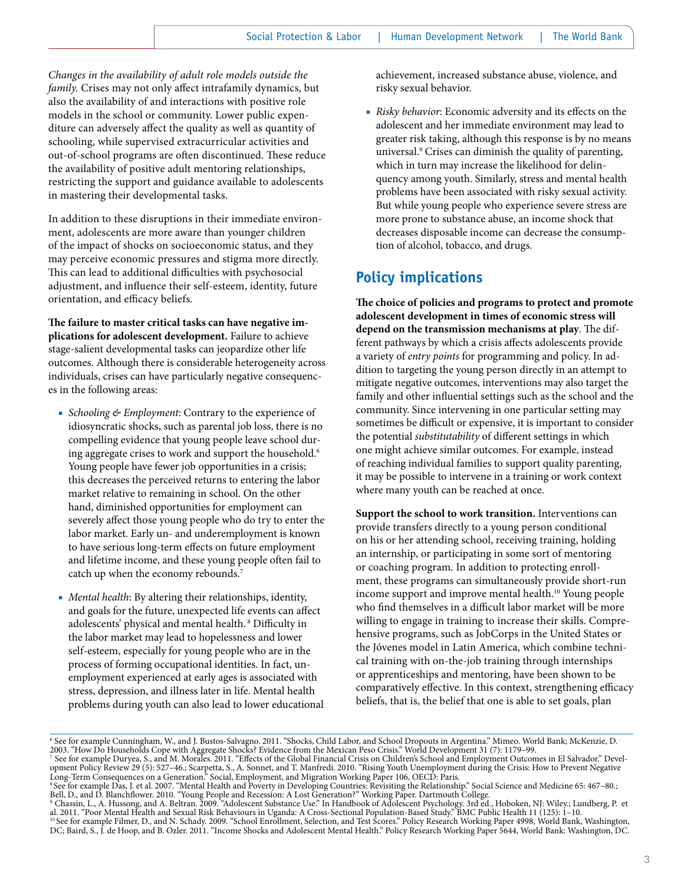*Changes in the availability of adult role models outside the family.* Crises may not only affect intrafamily dynamics, but also the availability of and interactions with positive role models in the school or community. Lower public expenditure can adversely affect the quality as well as quantity of schooling, while supervised extracurricular activities and out-of-school programs are often discontinued. These reduce the availability of positive adult mentoring relationships, restricting the support and guidance available to adolescents in mastering their developmental tasks.

In addition to these disruptions in their immediate environment, adolescents are more aware than younger children of the impact of shocks on socioeconomic status, and they may perceive economic pressures and stigma more directly. This can lead to additional difficulties with psychosocial adjustment, and influence their self-esteem, identity, future orientation, and efficacy beliefs.

**The failure to master critical tasks can have negative implications for adolescent development.** Failure to achieve stage-salient developmental tasks can jeopardize other life outcomes. Although there is considerable heterogeneity across individuals, crises can have particularly negative consequences in the following areas:

- *Schooling & Employment*: Contrary to the experience of idiosyncratic shocks, such as parental job loss, there is no compelling evidence that young people leave school during aggregate crises to work and support the household.<sup>6</sup> Young people have fewer job opportunities in a crisis; this decreases the perceived returns to entering the labor market relative to remaining in school. On the other hand, diminished opportunities for employment can severely affect those young people who do try to enter the labor market. Early un- and underemployment is known to have serious long-term effects on future employment and lifetime income, and these young people often fail to catch up when the economy rebounds.7
- *Mental health*: By altering their relationships, identity, and goals for the future, unexpected life events can affect adolescents' physical and mental health. 8 Difficulty in the labor market may lead to hopelessness and lower self-esteem, especially for young people who are in the process of forming occupational identities. In fact, unemployment experienced at early ages is associated with stress, depression, and illness later in life. Mental health problems during youth can also lead to lower educational

achievement, increased substance abuse, violence, and risky sexual behavior.

■ *Risky behavior*: Economic adversity and its effects on the adolescent and her immediate environment may lead to greater risk taking, although this response is by no means universal.9 Crises can diminish the quality of parenting, which in turn may increase the likelihood for delinquency among youth. Similarly, stress and mental health problems have been associated with risky sexual activity. But while young people who experience severe stress are more prone to substance abuse, an income shock that decreases disposable income can decrease the consumption of alcohol, tobacco, and drugs.

## **Policy implications**

**The choice of policies and programs to protect and promote adolescent development in times of economic stress will depend on the transmission mechanisms at play**. The different pathways by which a crisis affects adolescents provide a variety of *entry points* for programming and policy. In addition to targeting the young person directly in an attempt to mitigate negative outcomes, interventions may also target the family and other influential settings such as the school and the community. Since intervening in one particular setting may sometimes be difficult or expensive, it is important to consider the potential *substitutability* of different settings in which one might achieve similar outcomes. For example, instead of reaching individual families to support quality parenting, it may be possible to intervene in a training or work context where many youth can be reached at once.

**Support the school to work transition.** Interventions can provide transfers directly to a young person conditional on his or her attending school, receiving training, holding an internship, or participating in some sort of mentoring or coaching program. In addition to protecting enrollment, these programs can simultaneously provide short-run income support and improve mental health.10 Young people who find themselves in a difficult labor market will be more willing to engage in training to increase their skills. Comprehensive programs, such as JobCorps in the United States or the Jóvenes model in Latin America, which combine technical training with on-the-job training through internships or apprenticeships and mentoring, have been shown to be comparatively effective. In this context, strengthening efficacy beliefs, that is, the belief that one is able to set goals, plan

opment Policy Review 29 (5): 527–46.; Scarpetta, S., A. Sonnet, and T. Manfredi. 2010. "Rising Youth Unemployment during the Crisis: How to Prevent Negative Long-Term Consequences on a Generation." Social, Employment, and Migration Working Paper 106, OECD: Paris.

<sup>6</sup> See for example Cunningham, W., and J. Bustos-Salvagno. 2011. "Shocks, Child Labor, and School Dropouts in Argentina." Mimeo. World Bank; McKenzie, D. 2003. "How Do Households Cope with Aggregate Shocks? Evidence from the Mexican Peso Crisis." World Development 31 (7): 1179–99.<br><sup>7</sup> See for example Duryea, S., and M. Morales. 2011. "Effects of the Global Financial Crisis

<sup>8</sup> See for example Das, J. et al. 2007. "Mental Health and Poverty in Developing Countries: Revisiting the Relationship." Social Science and Medicine 65: 467–80.;

Bell, D., and D. Blanchflower. 2010. "Young People and Recession: A Lost Generation?" Working Paper. Dartmouth College.<br>º Chassin, L., A. Hussong, and A. Beltran. 2009. "Adolescent Substance Use." In Handbook of Adolescent

<sup>10</sup> See for example Filmer, D., and N. Schady. 2009. "School Enrollment, Selection, and Test Scores." Policy Research Working Paper 4998, World Bank, Washington, DC; Baird, S., J. de Hoop, and B. Ozler. 2011. "Income Shocks and Adolescent Mental Health." Policy Research Working Paper 5644, World Bank: Washington, DC.